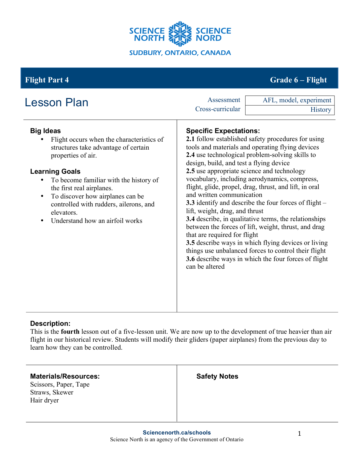

# **Flight Part 4 Grade 6 – Flight**

| <b>Lesson Plan</b>                                                                                                                                                                                                                                                                                                                                              | Assessment<br>Cross-curricular                                                                                                                                                                                                          | AFL, model, experiment<br><b>History</b>                                                                                                                                                                                                                                                                                                                                                                                                                                                                                                                                                                                     |
|-----------------------------------------------------------------------------------------------------------------------------------------------------------------------------------------------------------------------------------------------------------------------------------------------------------------------------------------------------------------|-----------------------------------------------------------------------------------------------------------------------------------------------------------------------------------------------------------------------------------------|------------------------------------------------------------------------------------------------------------------------------------------------------------------------------------------------------------------------------------------------------------------------------------------------------------------------------------------------------------------------------------------------------------------------------------------------------------------------------------------------------------------------------------------------------------------------------------------------------------------------------|
| <b>Big Ideas</b><br>Flight occurs when the characteristics of<br>structures take advantage of certain<br>properties of air.<br><b>Learning Goals</b><br>To become familiar with the history of<br>the first real airplanes.<br>To discover how airplanes can be<br>٠<br>controlled with rudders, ailerons, and<br>elevators.<br>Understand how an airfoil works | <b>Specific Expectations:</b><br>design, build, and test a flying device<br>2.5 use appropriate science and technology<br>and written communication<br>lift, weight, drag, and thrust<br>that are required for flight<br>can be altered | 2.1 follow established safety procedures for using<br>tools and materials and operating flying devices<br>2.4 use technological problem-solving skills to<br>vocabulary, including aerodynamics, compress,<br>flight, glide, propel, drag, thrust, and lift, in oral<br><b>3.3</b> identify and describe the four forces of flight –<br>3.4 describe, in qualitative terms, the relationships<br>between the forces of lift, weight, thrust, and drag<br>3.5 describe ways in which flying devices or living<br>things use unbalanced forces to control their flight<br>3.6 describe ways in which the four forces of flight |

### **Description:**

This is the **fourth** lesson out of a five-lesson unit. We are now up to the development of true heavier than air flight in our historical review. Students will modify their gliders (paper airplanes) from the previous day to learn how they can be controlled.

| <b>Materials/Resources:</b><br>Scissors, Paper, Tape<br>Straws, Skewer<br>Hair dryer | <b>Safety Notes</b> |
|--------------------------------------------------------------------------------------|---------------------|
|                                                                                      |                     |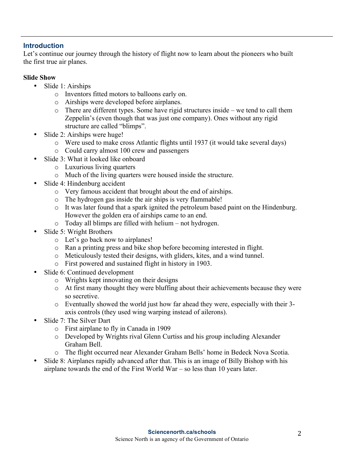#### **Introduction**

Let's continue our journey through the history of flight now to learn about the pioneers who built the first true air planes.

#### **Slide Show**

- Slide 1: Airships
	- o Inventors fitted motors to balloons early on.
	- o Airships were developed before airplanes.
	- o There are different types. Some have rigid structures inside we tend to call them Zeppelin's (even though that was just one company). Ones without any rigid structure are called "blimps".
- Slide 2: Airships were huge!
	- o Were used to make cross Atlantic flights until 1937 (it would take several days)
	- o Could carry almost 100 crew and passengers
- Slide 3: What it looked like onboard
	- o Luxurious living quarters
	- o Much of the living quarters were housed inside the structure.
- Slide 4: Hindenburg accident
	- o Very famous accident that brought about the end of airships.
	- o The hydrogen gas inside the air ships is very flammable!
	- o It was later found that a spark ignited the petroleum based paint on the Hindenburg. However the golden era of airships came to an end.
	- o Today all blimps are filled with helium not hydrogen.
- Slide 5: Wright Brothers
	- o Let's go back now to airplanes!
	- o Ran a printing press and bike shop before becoming interested in flight.
	- o Meticulously tested their designs, with gliders, kites, and a wind tunnel.
	- o First powered and sustained flight in history in 1903.
- Slide 6: Continued development
	- o Wrights kept innovating on their designs
	- o At first many thought they were bluffing about their achievements because they were so secretive.
	- o Eventually showed the world just how far ahead they were, especially with their 3 axis controls (they used wing warping instead of ailerons).
- Slide 7: The Silver Dart
	- o First airplane to fly in Canada in 1909
	- o Developed by Wrights rival Glenn Curtiss and his group including Alexander Graham Bell.
	- o The flight occurred near Alexander Graham Bells' home in Bedeck Nova Scotia.
- Slide 8: Airplanes rapidly advanced after that. This is an image of Billy Bishop with his airplane towards the end of the First World War – so less than 10 years later.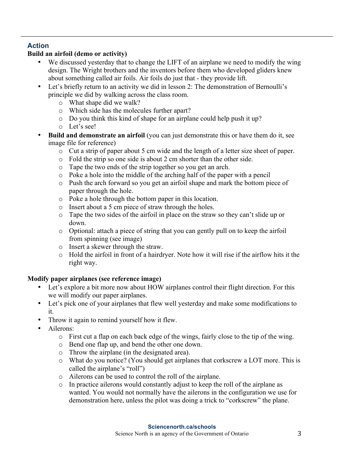## **Action**

## **Build an airfoil (demo or activity)**

- We discussed yesterday that to change the LIFT of an airplane we need to modify the wing design. The Wright brothers and the inventors before them who developed gliders knew about something called air foils. Air foils do just that - they provide lift.
- Let's briefly return to an activity we did in lesson 2: The demonstration of Bernoulli's principle we did by walking across the class room.
	- o What shape did we walk?
	- o Which side has the molecules further apart?
	- o Do you think this kind of shape for an airplane could help push it up?
	- o Let's see!
- **Build and demonstrate an airfoil** (you can just demonstrate this or have them do it, see image file for reference)
	- o Cut a strip of paper about 5 cm wide and the length of a letter size sheet of paper.
	- o Fold the strip so one side is about 2 cm shorter than the other side.
	- o Tape the two ends of the strip together so you get an arch.
	- o Poke a hole into the middle of the arching half of the paper with a pencil
	- o Push the arch forward so you get an airfoil shape and mark the bottom piece of paper through the hole.
	- o Poke a hole through the bottom paper in this location.
	- o Insert about a 5 cm piece of straw through the holes.
	- o Tape the two sides of the airfoil in place on the straw so they can't slide up or down.
	- o Optional: attach a piece of string that you can gently pull on to keep the airfoil from spinning (see image)
	- o Insert a skewer through the straw.
	- o Hold the airfoil in front of a hairdryer. Note how it will rise if the airflow hits it the right way.

## **Modify paper airplanes (see reference image)**

- Let's explore a bit more now about HOW airplanes control their flight direction. For this we will modify our paper airplanes.
- Let's pick one of your airplanes that flew well yesterday and make some modifications to it.
- Throw it again to remind yourself how it flew.
- Ailerons<sup>.</sup>
	- o First cut a flap on each back edge of the wings, fairly close to the tip of the wing.
	- o Bend one flap up, and bend the other one down.
	- o Throw the airplane (in the designated area).
	- o What do you notice? (You should get airplanes that corkscrew a LOT more. This is called the airplane's "roll")
	- o Ailerons can be used to control the roll of the airplane.
	- o In practice ailerons would constantly adjust to keep the roll of the airplane as wanted. You would not normally have the ailerons in the configuration we use for demonstration here, unless the pilot was doing a trick to "corkscrew" the plane.